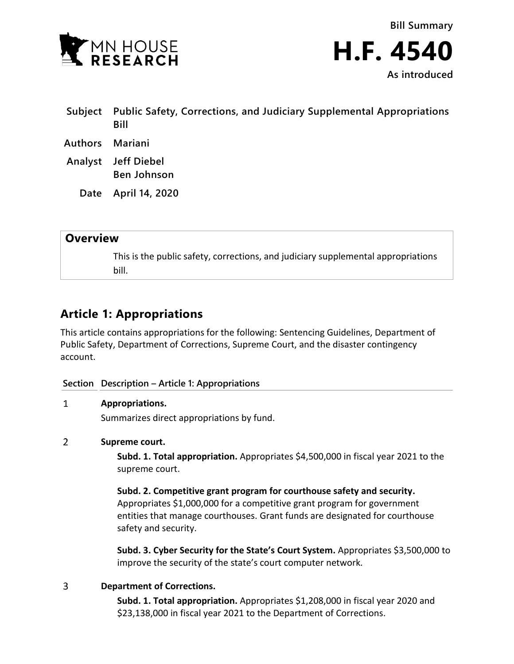

**Bill Summary H.F. 4540 As introduced**

| Subject | Public Safety, Corrections, and Judiciary Supplemental Appropriations<br>Bill |
|---------|-------------------------------------------------------------------------------|
| Authors | Mariani                                                                       |
| Analyst | Jeff Diebel<br><b>Ben Johnson</b>                                             |
| Date    | April 14, 2020                                                                |
|         |                                                                               |

# **Overview**

This is the public safety, corrections, and judiciary supplemental appropriations bill.

# **Article 1: Appropriations**

This article contains appropriations for the following: Sentencing Guidelines, Department of Public Safety, Department of Corrections, Supreme Court, and the disaster contingency account.

# **Section Description – Article 1: Appropriations**

### $\mathbf{1}$ **Appropriations.**

Summarizes direct appropriations by fund.

# $\overline{2}$ **Supreme court.**

**Subd. 1. Total appropriation.** Appropriates \$4,500,000 in fiscal year 2021 to the supreme court.

**Subd. 2. Competitive grant program for courthouse safety and security.** Appropriates \$1,000,000 for a competitive grant program for government entities that manage courthouses. Grant funds are designated for courthouse safety and security.

**Subd. 3. Cyber Security for the State's Court System.** Appropriates \$3,500,000 to improve the security of the state's court computer network.

# 3 **Department of Corrections.**

**Subd. 1. Total appropriation.** Appropriates \$1,208,000 in fiscal year 2020 and \$23,138,000 in fiscal year 2021 to the Department of Corrections.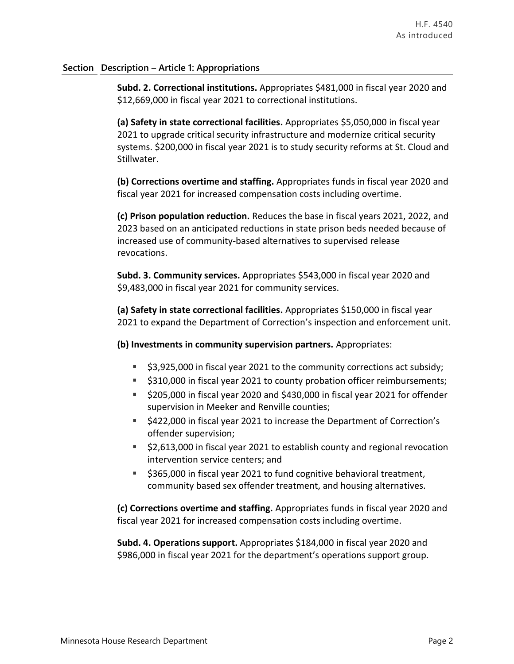# **Section Description – Article 1: Appropriations**

**Subd. 2. Correctional institutions.** Appropriates \$481,000 in fiscal year 2020 and \$12,669,000 in fiscal year 2021 to correctional institutions.

**(a) Safety in state correctional facilities.** Appropriates \$5,050,000 in fiscal year 2021 to upgrade critical security infrastructure and modernize critical security systems. \$200,000 in fiscal year 2021 is to study security reforms at St. Cloud and Stillwater.

**(b) Corrections overtime and staffing.** Appropriates funds in fiscal year 2020 and fiscal year 2021 for increased compensation costs including overtime.

**(c) Prison population reduction.** Reduces the base in fiscal years 2021, 2022, and 2023 based on an anticipated reductions in state prison beds needed because of increased use of community-based alternatives to supervised release revocations.

**Subd. 3. Community services.** Appropriates \$543,000 in fiscal year 2020 and \$9,483,000 in fiscal year 2021 for community services.

**(a) Safety in state correctional facilities.** Appropriates \$150,000 in fiscal year 2021 to expand the Department of Correction's inspection and enforcement unit.

**(b) Investments in community supervision partners.** Appropriates:

- \$3,925,000 in fiscal year 2021 to the community corrections act subsidy;
- **5310,000 in fiscal year 2021 to county probation officer reimbursements;**
- \$205,000 in fiscal year 2020 and \$430,000 in fiscal year 2021 for offender supervision in Meeker and Renville counties;
- **5422,000 in fiscal year 2021 to increase the Department of Correction's** offender supervision;
- \$2,613,000 in fiscal year 2021 to establish county and regional revocation intervention service centers; and
- **5365,000 in fiscal year 2021 to fund cognitive behavioral treatment,** community based sex offender treatment, and housing alternatives.

**(c) Corrections overtime and staffing.** Appropriates funds in fiscal year 2020 and fiscal year 2021 for increased compensation costs including overtime.

**Subd. 4. Operations support.** Appropriates \$184,000 in fiscal year 2020 and \$986,000 in fiscal year 2021 for the department's operations support group.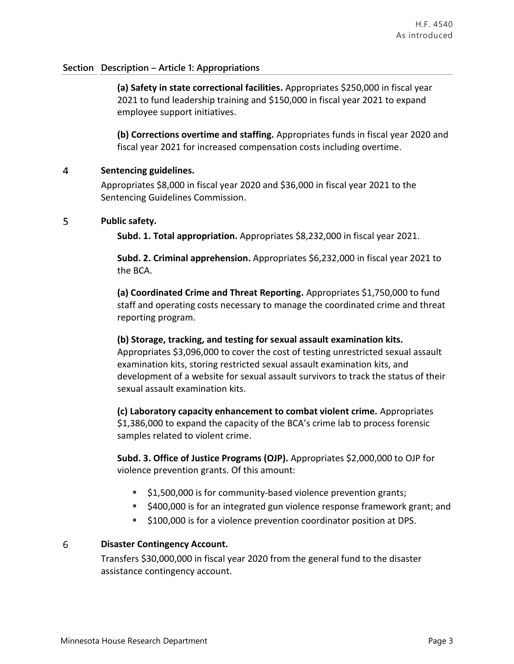# **Section Description – Article 1: Appropriations**

**(a) Safety in state correctional facilities.** Appropriates \$250,000 in fiscal year 2021 to fund leadership training and \$150,000 in fiscal year 2021 to expand employee support initiatives.

**(b) Corrections overtime and staffing.** Appropriates funds in fiscal year 2020 and fiscal year 2021 for increased compensation costs including overtime.

## $\overline{4}$ **Sentencing guidelines.**

Appropriates \$8,000 in fiscal year 2020 and \$36,000 in fiscal year 2021 to the Sentencing Guidelines Commission.

## 5 **Public safety.**

**Subd. 1. Total appropriation.** Appropriates \$8,232,000 in fiscal year 2021.

**Subd. 2. Criminal apprehension.** Appropriates \$6,232,000 in fiscal year 2021 to the BCA.

**(a) Coordinated Crime and Threat Reporting.** Appropriates \$1,750,000 to fund staff and operating costs necessary to manage the coordinated crime and threat reporting program.

# **(b) Storage, tracking, and testing for sexual assault examination kits.**  Appropriates \$3,096,000 to cover the cost of testing unrestricted sexual assault examination kits, storing restricted sexual assault examination kits, and development of a website for sexual assault survivors to track the status of their sexual assault examination kits.

**(c) Laboratory capacity enhancement to combat violent crime.** Appropriates \$1,386,000 to expand the capacity of the BCA's crime lab to process forensic samples related to violent crime.

**Subd. 3. Office of Justice Programs (OJP).** Appropriates \$2,000,000 to OJP for violence prevention grants. Of this amount:

- \$1,500,000 is for community-based violence prevention grants;
- **5400,000 is for an integrated gun violence response framework grant; and**
- $\uparrow$  \$100,000 is for a violence prevention coordinator position at DPS.

# 6 **Disaster Contingency Account.**

Transfers \$30,000,000 in fiscal year 2020 from the general fund to the disaster assistance contingency account.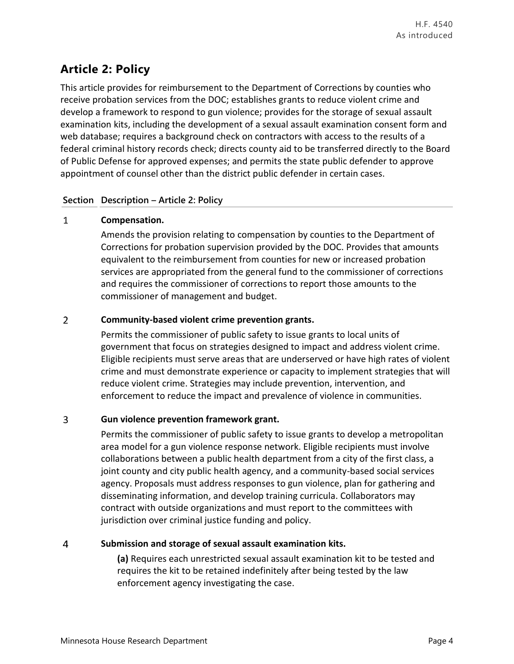# **Article 2: Policy**

This article provides for reimbursement to the Department of Corrections by counties who receive probation services from the DOC; establishes grants to reduce violent crime and develop a framework to respond to gun violence; provides for the storage of sexual assault examination kits, including the development of a sexual assault examination consent form and web database; requires a background check on contractors with access to the results of a federal criminal history records check; directs county aid to be transferred directly to the Board of Public Defense for approved expenses; and permits the state public defender to approve appointment of counsel other than the district public defender in certain cases.

# **Section Description – Article 2: Policy**

# $\mathbf{1}$ **Compensation.**

Amends the provision relating to compensation by counties to the Department of Corrections for probation supervision provided by the DOC. Provides that amounts equivalent to the reimbursement from counties for new or increased probation services are appropriated from the general fund to the commissioner of corrections and requires the commissioner of corrections to report those amounts to the commissioner of management and budget.

# $\overline{2}$ **Community-based violent crime prevention grants.**

Permits the commissioner of public safety to issue grants to local units of government that focus on strategies designed to impact and address violent crime. Eligible recipients must serve areas that are underserved or have high rates of violent crime and must demonstrate experience or capacity to implement strategies that will reduce violent crime. Strategies may include prevention, intervention, and enforcement to reduce the impact and prevalence of violence in communities.

# 3 **Gun violence prevention framework grant.**

Permits the commissioner of public safety to issue grants to develop a metropolitan area model for a gun violence response network. Eligible recipients must involve collaborations between a public health department from a city of the first class, a joint county and city public health agency, and a community-based social services agency. Proposals must address responses to gun violence, plan for gathering and disseminating information, and develop training curricula. Collaborators may contract with outside organizations and must report to the committees with jurisdiction over criminal justice funding and policy.

# $\overline{4}$ **Submission and storage of sexual assault examination kits.**

**(a)** Requires each unrestricted sexual assault examination kit to be tested and requires the kit to be retained indefinitely after being tested by the law enforcement agency investigating the case.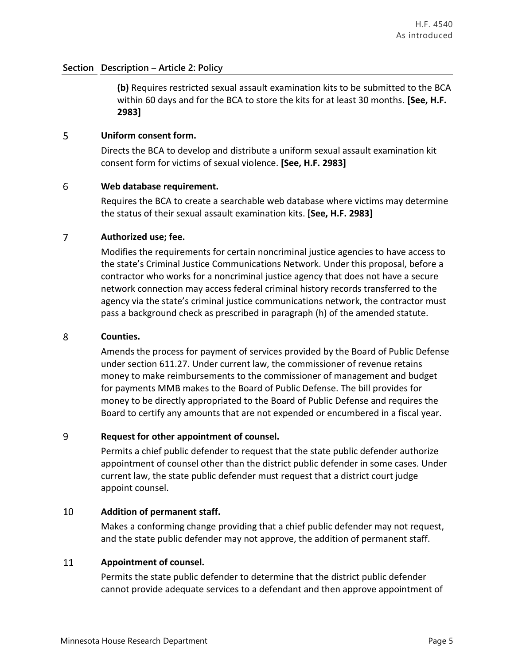# **Section Description – Article 2: Policy**

**(b)** Requires restricted sexual assault examination kits to be submitted to the BCA within 60 days and for the BCA to store the kits for at least 30 months. **[See, H.F. 2983]**

### **Uniform consent form.** 5

Directs the BCA to develop and distribute a uniform sexual assault examination kit consent form for victims of sexual violence. **[See, H.F. 2983]**

### 6 **Web database requirement.**

Requires the BCA to create a searchable web database where victims may determine the status of their sexual assault examination kits. **[See, H.F. 2983]**

### $\overline{7}$ **Authorized use; fee.**

Modifies the requirements for certain noncriminal justice agencies to have access to the state's Criminal Justice Communications Network. Under this proposal, before a contractor who works for a noncriminal justice agency that does not have a secure network connection may access federal criminal history records transferred to the agency via the state's criminal justice communications network, the contractor must pass a background check as prescribed in paragraph (h) of the amended statute.

#### 8 **Counties.**

Amends the process for payment of services provided by the Board of Public Defense under section 611.27. Under current law, the commissioner of revenue retains money to make reimbursements to the commissioner of management and budget for payments MMB makes to the Board of Public Defense. The bill provides for money to be directly appropriated to the Board of Public Defense and requires the Board to certify any amounts that are not expended or encumbered in a fiscal year.

### 9 **Request for other appointment of counsel.**

Permits a chief public defender to request that the state public defender authorize appointment of counsel other than the district public defender in some cases. Under current law, the state public defender must request that a district court judge appoint counsel.

### 10 **Addition of permanent staff.**

Makes a conforming change providing that a chief public defender may not request, and the state public defender may not approve, the addition of permanent staff.

### 11 **Appointment of counsel.**

Permits the state public defender to determine that the district public defender cannot provide adequate services to a defendant and then approve appointment of